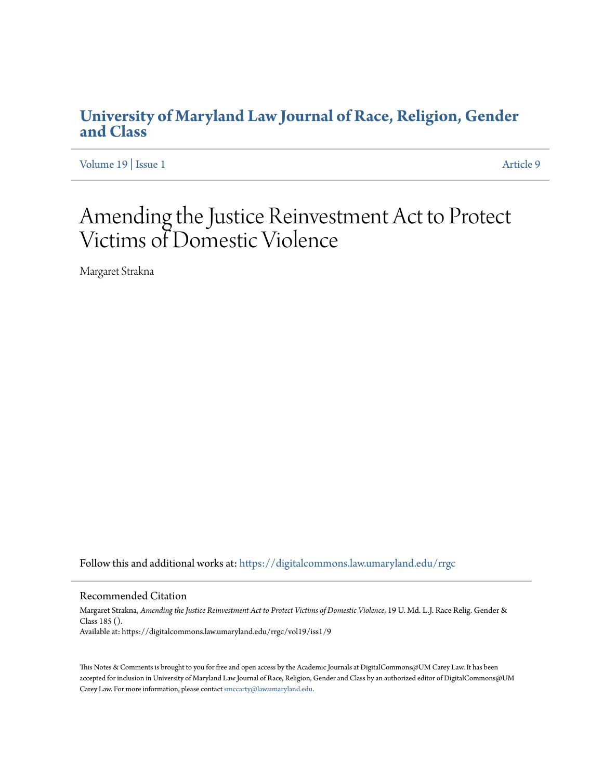# **[University of Maryland Law Journal of Race, Religion, Gender](https://digitalcommons.law.umaryland.edu/rrgc?utm_source=digitalcommons.law.umaryland.edu%2Frrgc%2Fvol19%2Fiss1%2F9&utm_medium=PDF&utm_campaign=PDFCoverPages) [and Class](https://digitalcommons.law.umaryland.edu/rrgc?utm_source=digitalcommons.law.umaryland.edu%2Frrgc%2Fvol19%2Fiss1%2F9&utm_medium=PDF&utm_campaign=PDFCoverPages)**

[Volume 19](https://digitalcommons.law.umaryland.edu/rrgc/vol19?utm_source=digitalcommons.law.umaryland.edu%2Frrgc%2Fvol19%2Fiss1%2F9&utm_medium=PDF&utm_campaign=PDFCoverPages) | [Issue 1](https://digitalcommons.law.umaryland.edu/rrgc/vol19/iss1?utm_source=digitalcommons.law.umaryland.edu%2Frrgc%2Fvol19%2Fiss1%2F9&utm_medium=PDF&utm_campaign=PDFCoverPages) [Article 9](https://digitalcommons.law.umaryland.edu/rrgc/vol19/iss1/9?utm_source=digitalcommons.law.umaryland.edu%2Frrgc%2Fvol19%2Fiss1%2F9&utm_medium=PDF&utm_campaign=PDFCoverPages)

# Amending the Justice Reinvestment Act to Protect Victims of Domestic Violence

Margaret Strakna

Follow this and additional works at: [https://digitalcommons.law.umaryland.edu/rrgc](https://digitalcommons.law.umaryland.edu/rrgc?utm_source=digitalcommons.law.umaryland.edu%2Frrgc%2Fvol19%2Fiss1%2F9&utm_medium=PDF&utm_campaign=PDFCoverPages)

#### Recommended Citation

Margaret Strakna, *Amending the Justice Reinvestment Act to Protect Victims of Domestic Violence*, 19 U. Md. L.J. Race Relig. Gender & Class 185 (). Available at: https://digitalcommons.law.umaryland.edu/rrgc/vol19/iss1/9

This Notes & Comments is brought to you for free and open access by the Academic Journals at DigitalCommons@UM Carey Law. It has been accepted for inclusion in University of Maryland Law Journal of Race, Religion, Gender and Class by an authorized editor of DigitalCommons@UM Carey Law. For more information, please contact [smccarty@law.umaryland.edu](mailto:smccarty@law.umaryland.edu).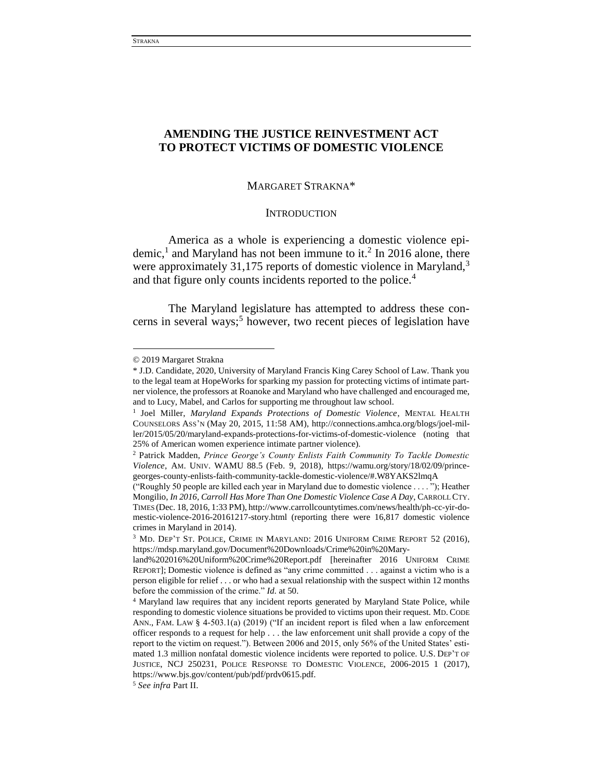# **AMENDING THE JUSTICE REINVESTMENT ACT TO PROTECT VICTIMS OF DOMESTIC VIOLENCE**

# MARGARET STRAKNA\*

# **INTRODUCTION**

America as a whole is experiencing a domestic violence epidemic,<sup>1</sup> and Maryland has not been immune to it.<sup>2</sup> In 2016 alone, there were approximately 31,175 reports of domestic violence in Maryland,<sup>3</sup> and that figure only counts incidents reported to the police.<sup>4</sup>

The Maryland legislature has attempted to address these concerns in several ways;<sup>5</sup> however, two recent pieces of legislation have

<sup>© 2019</sup> Margaret Strakna

<sup>\*</sup> J.D. Candidate, 2020, University of Maryland Francis King Carey School of Law. Thank you to the legal team at HopeWorks for sparking my passion for protecting victims of intimate partner violence, the professors at Roanoke and Maryland who have challenged and encouraged me, and to Lucy, Mabel, and Carlos for supporting me throughout law school.

<sup>&</sup>lt;sup>1</sup> Joel Miller, *Maryland Expands Protections of Domestic Violence*, MENTAL HEALTH COUNSELORS ASS'N (May 20, 2015, 11:58 AM), http://connections.amhca.org/blogs/joel-miller/2015/05/20/maryland-expands-protections-for-victims-of-domestic-violence (noting that 25% of American women experience intimate partner violence).

<sup>2</sup> Patrick Madden, *Prince George's County Enlists Faith Community To Tackle Domestic Violence*, AM. UNIV. WAMU 88.5 (Feb. 9, 2018), https://wamu.org/story/18/02/09/princegeorges-county-enlists-faith-community-tackle-domestic-violence/#.W8YAKS2lmqA

<sup>(&</sup>quot;Roughly 50 people are killed each year in Maryland due to domestic violence . . . . "); Heather Mongilio, *In 2016, Carroll Has More Than One Domestic Violence Case A Day*, CARROLL CTY. TIMES (Dec. 18, 2016, 1:33 PM), http://www.carrollcountytimes.com/news/health/ph-cc-yir-domestic-violence-2016-20161217-story.html (reporting there were 16,817 domestic violence crimes in Maryland in 2014).

<sup>3</sup> MD. DEP'T ST. POLICE, CRIME IN MARYLAND: 2016 UNIFORM CRIME REPORT 52 (2016), https://mdsp.maryland.gov/Document%20Downloads/Crime%20in%20Mary-

land%202016%20Uniform%20Crime%20Report.pdf [hereinafter 2016 UNIFORM CRIME REPORT]; Domestic violence is defined as "any crime committed . . . against a victim who is a person eligible for relief . . . or who had a sexual relationship with the suspect within 12 months before the commission of the crime." *Id.* at 50.

<sup>4</sup> Maryland law requires that any incident reports generated by Maryland State Police, while responding to domestic violence situations be provided to victims upon their request. MD. CODE ANN., FAM. LAW § 4-503.1(a) (2019) ("If an incident report is filed when a law enforcement officer responds to a request for help . . . the law enforcement unit shall provide a copy of the report to the victim on request."). Between 2006 and 2015, only 56% of the United States' estimated 1.3 million nonfatal domestic violence incidents were reported to police. U.S. DEP'T OF JUSTICE, NCJ 250231, POLICE RESPONSE TO DOMESTIC VIOLENCE, 2006-2015 1 (2017), https://www.bjs.gov/content/pub/pdf/prdv0615.pdf.

<sup>5</sup> *See infra* Part II.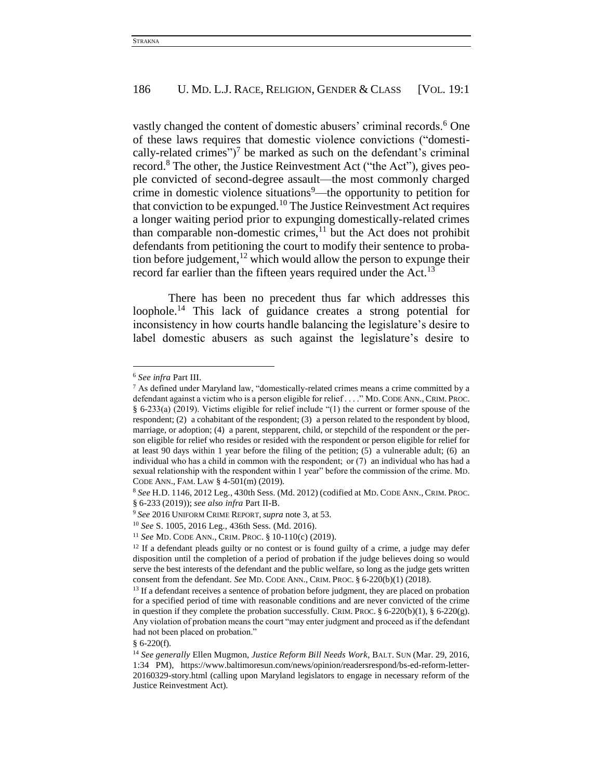vastly changed the content of domestic abusers' criminal records.<sup>6</sup> One of these laws requires that domestic violence convictions ("domestically-related crimes")<sup>7</sup> be marked as such on the defendant's criminal record.<sup>8</sup> The other, the Justice Reinvestment Act ("the Act"), gives people convicted of second-degree assault—the most commonly charged crime in domestic violence situations<sup>9</sup>—the opportunity to petition for that conviction to be expunged.<sup>10</sup> The Justice Reinvestment Act requires a longer waiting period prior to expunging domestically-related crimes than comparable non-domestic crimes, $11$  but the Act does not prohibit defendants from petitioning the court to modify their sentence to probation before judgement, $12$  which would allow the person to expunge their record far earlier than the fifteen years required under the Act.<sup>13</sup>

There has been no precedent thus far which addresses this loophole.<sup>14</sup> This lack of guidance creates a strong potential for inconsistency in how courts handle balancing the legislature's desire to label domestic abusers as such against the legislature's desire to

l

 $§ 6-220(f).$ 

<sup>6</sup> *See infra* Part III.

<sup>7</sup> As defined under Maryland law, "domestically-related crimes means a crime committed by a defendant against a victim who is a person eligible for relief . . . ." MD. CODE ANN., CRIM. PROC. § 6-233(a) (2019). Victims eligible for relief include "(1) the current or former spouse of the respondent; (2) a cohabitant of the respondent; (3) a person related to the respondent by blood, marriage, or adoption; (4) a parent, stepparent, child, or stepchild of the respondent or the person eligible for relief who resides or resided with the respondent or person eligible for relief for at least 90 days within 1 year before the filing of the petition; (5) a vulnerable adult; (6) an individual who has a child in common with the respondent;  or (7) an individual who has had a sexual relationship with the respondent within 1 year" before the commission of the crime. MD. CODE ANN., FAM. LAW § 4-501(m) (2019).

<sup>8</sup> *See* H.D. 1146, 2012 Leg., 430th Sess. (Md. 2012) (codified at MD. CODE ANN., CRIM. PROC. § 6-233 (2019)); *see also infra* Part II-B.

<sup>9</sup> *See* 2016 UNIFORM CRIME REPORT, *supra* note 3, at 53.

<sup>10</sup> *See* S. 1005, 2016 Leg., 436th Sess. (Md. 2016).

<sup>11</sup> *See* MD. CODE ANN., CRIM. PROC. § 10-110(c) (2019).

 $12$  If a defendant pleads guilty or no contest or is found guilty of a crime, a judge may defer disposition until the completion of a period of probation if the judge believes doing so would serve the best interests of the defendant and the public welfare, so long as the judge gets written consent from the defendant. *See* MD. CODE ANN., CRIM. PROC. § 6-220(b)(1) (2018).

<sup>&</sup>lt;sup>13</sup> If a defendant receives a sentence of probation before judgment, they are placed on probation for a specified period of time with reasonable conditions and are never convicted of the crime in question if they complete the probation successfully. CRIM. PROC.  $\S 6-220(b)(1)$ ,  $\S 6-220(g)$ . Any violation of probation means the court "may enter judgment and proceed as if the defendant had not been placed on probation."

<sup>14</sup> *See generally* Ellen Mugmon, *Justice Reform Bill Needs Work*, BALT. SUN (Mar. 29, 2016, 1:34 PM), https://www.baltimoresun.com/news/opinion/readersrespond/bs-ed-reform-letter-20160329-story.html (calling upon Maryland legislators to engage in necessary reform of the Justice Reinvestment Act).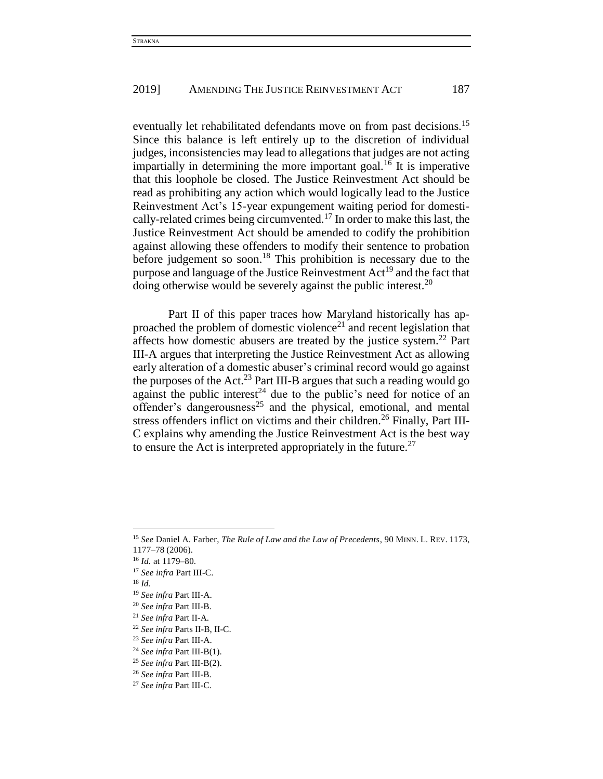eventually let rehabilitated defendants move on from past decisions.<sup>15</sup> Since this balance is left entirely up to the discretion of individual judges, inconsistencies may lead to allegations that judges are not acting impartially in determining the more important goal.<sup>16</sup> It is imperative that this loophole be closed. The Justice Reinvestment Act should be read as prohibiting any action which would logically lead to the Justice Reinvestment Act's 15-year expungement waiting period for domestically-related crimes being circumvented.<sup>17</sup> In order to make this last, the Justice Reinvestment Act should be amended to codify the prohibition against allowing these offenders to modify their sentence to probation before judgement so soon.<sup>18</sup> This prohibition is necessary due to the purpose and language of the Justice Reinvestment  $Act^{19}$  and the fact that doing otherwise would be severely against the public interest.<sup>20</sup>

Part II of this paper traces how Maryland historically has approached the problem of domestic violence<sup>21</sup> and recent legislation that affects how domestic abusers are treated by the justice system.<sup>22</sup> Part III-A argues that interpreting the Justice Reinvestment Act as allowing early alteration of a domestic abuser's criminal record would go against the purposes of the Act.<sup>23</sup> Part III-B argues that such a reading would go against the public interest<sup>24</sup> due to the public's need for notice of an offender's dangerousness<sup>25</sup> and the physical, emotional, and mental stress offenders inflict on victims and their children.<sup>26</sup> Finally, Part III-C explains why amending the Justice Reinvestment Act is the best way to ensure the Act is interpreted appropriately in the future.<sup>27</sup>

 $\overline{\phantom{a}}$ 

<sup>21</sup> *See infra* Part II-A.

<sup>15</sup> *See* Daniel A. Farber, *The Rule of Law and the Law of Precedents*, 90 MINN. L. REV. 1173,

<sup>1177–78</sup> (2006).

<sup>16</sup> *Id.* at 1179–80.

<sup>17</sup> *See infra* Part III-C.

<sup>18</sup> *Id.*

<sup>19</sup> *See infra* Part III-A.

<sup>20</sup> *See infra* Part III-B.

<sup>22</sup> *See infra* Parts II-B, II-C.

<sup>23</sup> *See infra* Part III-A.

<sup>24</sup> *See infra* Part III-B(1).

<sup>25</sup> *See infra* Part III-B(2).

<sup>26</sup> *See infra* Part III-B.

<sup>27</sup> *See infra* Part III-C.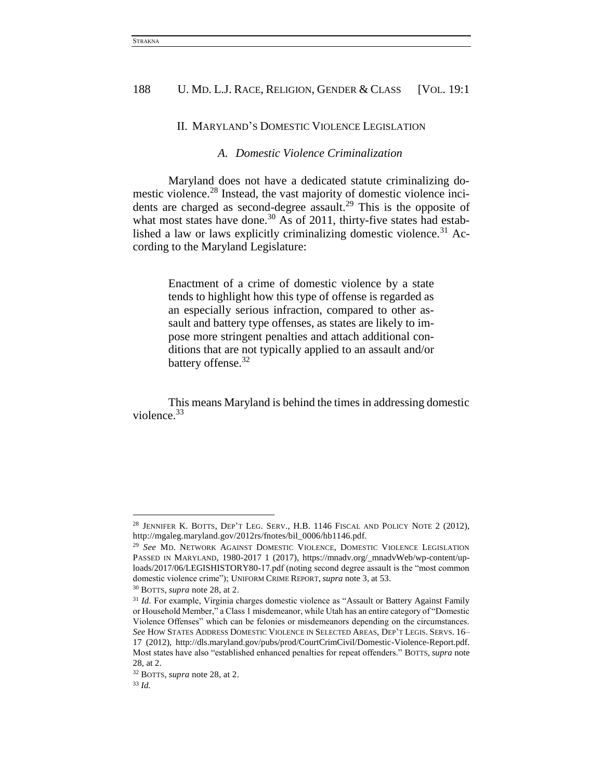#### II. MARYLAND'S DOMESTIC VIOLENCE LEGISLATION

# *A. Domestic Violence Criminalization*

Maryland does not have a dedicated statute criminalizing domestic violence.<sup>28</sup> Instead, the vast majority of domestic violence incidents are charged as second-degree assault.<sup>29</sup> This is the opposite of what most states have done.<sup>30</sup> As of 2011, thirty-five states had established a law or laws explicitly criminalizing domestic violence.<sup>31</sup> According to the Maryland Legislature:

> Enactment of a crime of domestic violence by a state tends to highlight how this type of offense is regarded as an especially serious infraction, compared to other assault and battery type offenses, as states are likely to impose more stringent penalties and attach additional conditions that are not typically applied to an assault and/or battery offense.<sup>32</sup>

This means Maryland is behind the times in addressing domestic violence.<sup>33</sup>

 $\overline{a}$ 

<sup>28</sup> JENNIFER K. BOTTS, DEP'T LEG. SERV., H.B. 1146 FISCAL AND POLICY NOTE 2 (2012), http://mgaleg.maryland.gov/2012rs/fnotes/bil\_0006/hb1146.pdf.

<sup>29</sup> *See* MD. NETWORK AGAINST DOMESTIC VIOLENCE, DOMESTIC VIOLENCE LEGISLATION PASSED IN MARYLAND, 1980-2017 1 (2017), https://mnadv.org/\_mnadvWeb/wp-content/uploads/2017/06/LEGISHISTORY80-17.pdf (noting second degree assault is the "most common domestic violence crime"); UNIFORM CRIME REPORT, *supra* note 3, at 53.

<sup>30</sup> BOTTS, *supra* note 28, at 2.

<sup>&</sup>lt;sup>31</sup> Id. For example, Virginia charges domestic violence as "Assault or Battery Against Family or Household Member," a Class 1 misdemeanor, while Utah has an entire category of "Domestic Violence Offenses" which can be felonies or misdemeanors depending on the circumstances. *See* HOW STATES ADDRESS DOMESTIC VIOLENCE IN SELECTED AREAS, DEP'T LEGIS. SERVS. 16– 17 (2012), http://dls.maryland.gov/pubs/prod/CourtCrimCivil/Domestic-Violence-Report.pdf. Most states have also "established enhanced penalties for repeat offenders." BOTTS, *supra* note 28, at 2.

<sup>32</sup> BOTTS, *supra* note 28, at 2.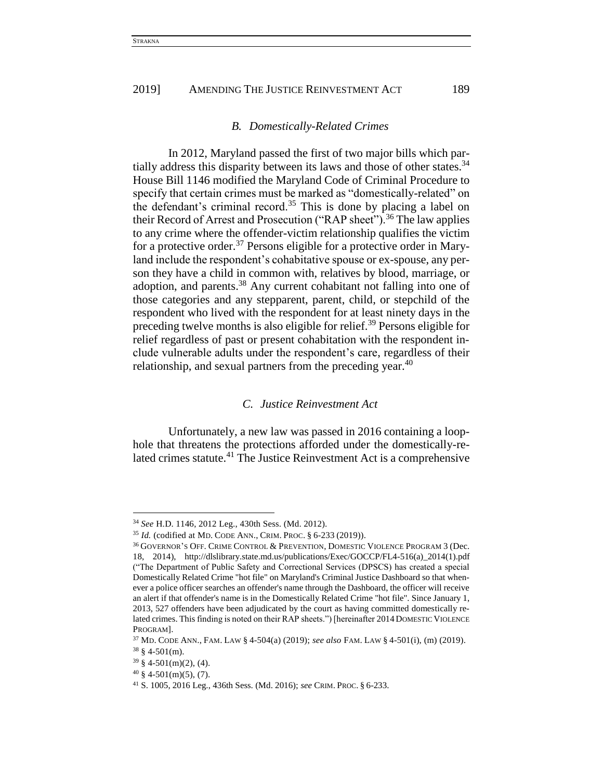#### *B. Domestically-Related Crimes*

In 2012, Maryland passed the first of two major bills which partially address this disparity between its laws and those of other states.<sup>34</sup> House Bill 1146 modified the Maryland Code of Criminal Procedure to specify that certain crimes must be marked as "domestically-related" on the defendant's criminal record.<sup>35</sup> This is done by placing a label on their Record of Arrest and Prosecution ("RAP sheet").<sup>36</sup> The law applies to any crime where the offender-victim relationship qualifies the victim for a protective order.<sup>37</sup> Persons eligible for a protective order in Maryland include the respondent's cohabitative spouse or ex-spouse, any person they have a child in common with, relatives by blood, marriage, or adoption, and parents.<sup>38</sup> Any current cohabitant not falling into one of those categories and any stepparent, parent, child, or stepchild of the respondent who lived with the respondent for at least ninety days in the preceding twelve months is also eligible for relief. <sup>39</sup> Persons eligible for relief regardless of past or present cohabitation with the respondent include vulnerable adults under the respondent's care, regardless of their relationship, and sexual partners from the preceding year.<sup>40</sup>

# *C. Justice Reinvestment Act*

Unfortunately, a new law was passed in 2016 containing a loophole that threatens the protections afforded under the domestically-related crimes statute.<sup>41</sup> The Justice Reinvestment Act is a comprehensive

<sup>34</sup> *See* H.D. 1146, 2012 Leg., 430th Sess. (Md. 2012).

<sup>35</sup> *Id.* (codified at MD. CODE ANN., CRIM. PROC. § 6-233 (2019)).

<sup>36</sup> GOVERNOR'S OFF. CRIME CONTROL & PREVENTION, DOMESTIC VIOLENCE PROGRAM 3 (Dec. 18, 2014), http://dlslibrary.state.md.us/publications/Exec/GOCCP/FL4-516(a)\_2014(1).pdf ("The Department of Public Safety and Correctional Services (DPSCS) has created a special Domestically Related Crime "hot file" on Maryland's Criminal Justice Dashboard so that whenever a police officer searches an offender's name through the Dashboard, the officer will receive an alert if that offender's name is in the Domestically Related Crime "hot file". Since January 1, 2013, 527 offenders have been adjudicated by the court as having committed domestically related crimes. This finding is noted on their RAP sheets.") [hereinafter 2014 DOMESTIC VIOLENCE PROGRAM].

<sup>37</sup> MD. CODE ANN., FAM. LAW § 4-504(a) (2019); *see also* FAM. LAW § 4-501(i), (m) (2019).  $38 \text{ } 4-501(m)$ .

<sup>39</sup> § 4-501(m)(2), (4).

 $40 \text{ }$  \$ 4-501(m)(5), (7).

<sup>41</sup> S. 1005, 2016 Leg., 436th Sess. (Md. 2016); *see* CRIM. PROC. § 6-233.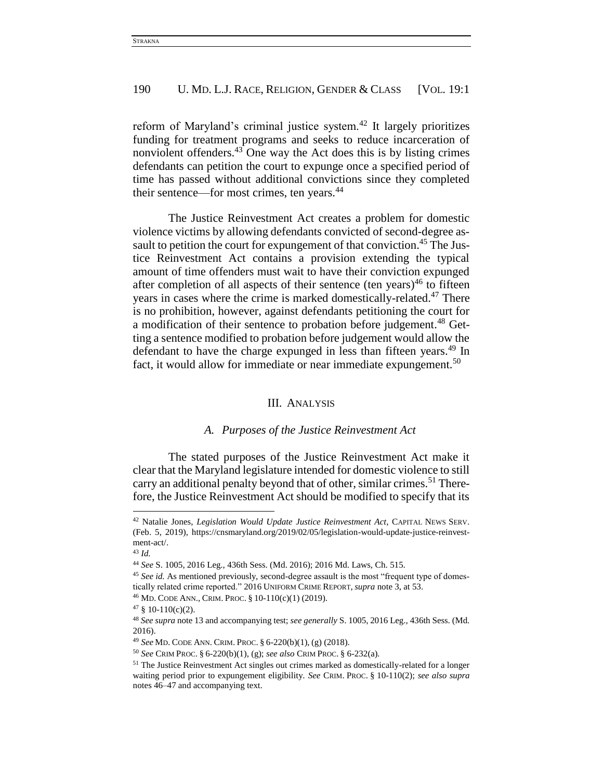reform of Maryland's criminal justice system.<sup>42</sup> It largely prioritizes funding for treatment programs and seeks to reduce incarceration of nonviolent offenders.<sup>43</sup> One way the Act does this is by listing crimes defendants can petition the court to expunge once a specified period of time has passed without additional convictions since they completed their sentence—for most crimes, ten years.<sup>44</sup>

The Justice Reinvestment Act creates a problem for domestic violence victims by allowing defendants convicted of second-degree assault to petition the court for expungement of that conviction.<sup>45</sup> The Justice Reinvestment Act contains a provision extending the typical amount of time offenders must wait to have their conviction expunged after completion of all aspects of their sentence (ten years)<sup>46</sup> to fifteen years in cases where the crime is marked domestically-related.<sup>47</sup> There is no prohibition, however, against defendants petitioning the court for a modification of their sentence to probation before judgement.<sup>48</sup> Getting a sentence modified to probation before judgement would allow the defendant to have the charge expunged in less than fifteen years.<sup>49</sup> In fact, it would allow for immediate or near immediate expungement.<sup>50</sup>

#### III. ANALYSIS

# *A. Purposes of the Justice Reinvestment Act*

The stated purposes of the Justice Reinvestment Act make it clear that the Maryland legislature intended for domestic violence to still carry an additional penalty beyond that of other, similar crimes.<sup>51</sup> Therefore, the Justice Reinvestment Act should be modified to specify that its

<sup>42</sup> Natalie Jones, *Legislation Would Update Justice Reinvestment Act*, CAPITAL NEWS SERV. (Feb. 5, 2019), https://cnsmaryland.org/2019/02/05/legislation-would-update-justice-reinvestment-act/.

<sup>43</sup> *Id.*

<sup>44</sup> *See* S. 1005, 2016 Leg., 436th Sess. (Md. 2016); 2016 Md. Laws, Ch. 515.

<sup>&</sup>lt;sup>45</sup> See id. As mentioned previously, second-degree assault is the most "frequent type of domestically related crime reported." 2016 UNIFORM CRIME REPORT, *supra* note 3, at 53.

<sup>46</sup> MD. CODE ANN., CRIM. PROC. § 10-110(c)(1) (2019).

 $47 \S 10-110(c)(2)$ .

<sup>48</sup> *See supra* note 13 and accompanying test; *see generally* S. 1005, 2016 Leg., 436th Sess. (Md. 2016).

<sup>49</sup> *See* MD. CODE ANN. CRIM. PROC. § 6-220(b)(1), (g) (2018).

<sup>50</sup> *See* CRIM PROC. § 6-220(b)(1), (g); *see also* CRIM PROC. § 6-232(a).

 $51$  The Justice Reinvestment Act singles out crimes marked as domestically-related for a longer waiting period prior to expungement eligibility. *See* CRIM. PROC. § 10-110(2); *see also supra*  notes 46–47 and accompanying text.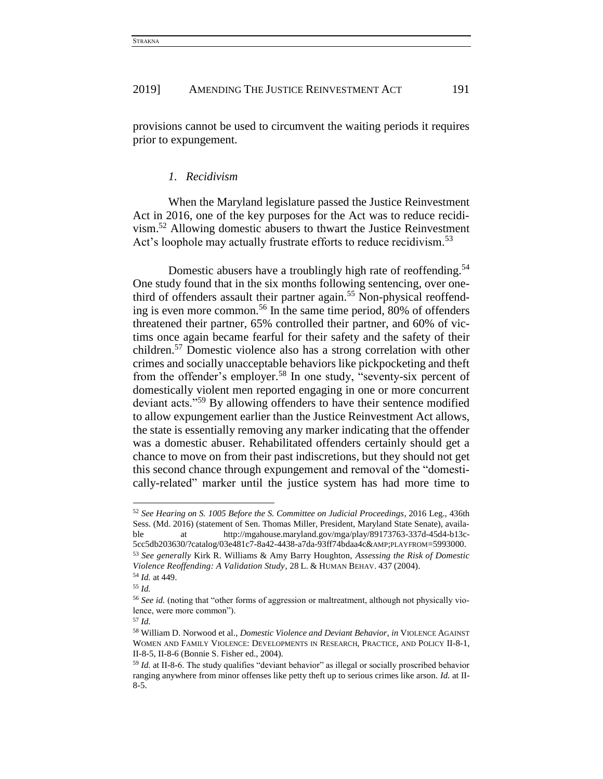provisions cannot be used to circumvent the waiting periods it requires prior to expungement.

#### *1. Recidivism*

When the Maryland legislature passed the Justice Reinvestment Act in 2016, one of the key purposes for the Act was to reduce recidivism.<sup>52</sup> Allowing domestic abusers to thwart the Justice Reinvestment Act's loophole may actually frustrate efforts to reduce recidivism.<sup>53</sup>

Domestic abusers have a troublingly high rate of reoffending.<sup>54</sup> One study found that in the six months following sentencing, over onethird of offenders assault their partner again. <sup>55</sup> Non-physical reoffending is even more common.<sup>56</sup> In the same time period, 80% of offenders threatened their partner, 65% controlled their partner, and 60% of victims once again became fearful for their safety and the safety of their children.<sup>57</sup> Domestic violence also has a strong correlation with other crimes and socially unacceptable behaviors like pickpocketing and theft from the offender's employer.<sup>58</sup> In one study, "seventy-six percent of domestically violent men reported engaging in one or more concurrent deviant acts."<sup>59</sup> By allowing offenders to have their sentence modified to allow expungement earlier than the Justice Reinvestment Act allows, the state is essentially removing any marker indicating that the offender was a domestic abuser. Rehabilitated offenders certainly should get a chance to move on from their past indiscretions, but they should not get this second chance through expungement and removal of the "domestically-related" marker until the justice system has had more time to

<sup>52</sup> *See Hearing on S. 1005 Before the S. Committee on Judicial Proceedings*, 2016 Leg., 436th Sess. (Md. 2016) (statement of Sen. Thomas Miller, President, Maryland State Senate), available at http://mgahouse.maryland.gov/mga/play/89173763-337d-45d4-b13c-5cc5db203630/?catalog/03e481c7-8a42-4438-a7da-93ff74bdaa4c&PLAYFROM=5993000. <sup>53</sup> *See generally* Kirk R. Williams & Amy Barry Houghton, *Assessing the Risk of Domestic Violence Reoffending: A Validation Study*, 28 L. & HUMAN BEHAV. 437 (2004).

<sup>54</sup> *Id.* at 449.

<sup>55</sup> *Id.*

<sup>56</sup> *See id.* (noting that "other forms of aggression or maltreatment, although not physically violence, were more common").

<sup>57</sup> *Id.*

<sup>58</sup> William D. Norwood et al., *Domestic Violence and Deviant Behavior*, *in* VIOLENCE AGAINST WOMEN AND FAMILY VIOLENCE: DEVELOPMENTS IN RESEARCH, PRACTICE, AND POLICY II-8-1, II-8-5, II-8-6 (Bonnie S. Fisher ed., 2004).

<sup>59</sup> *Id.* at II-8-6. The study qualifies "deviant behavior" as illegal or socially proscribed behavior ranging anywhere from minor offenses like petty theft up to serious crimes like arson. *Id.* at II-8-5.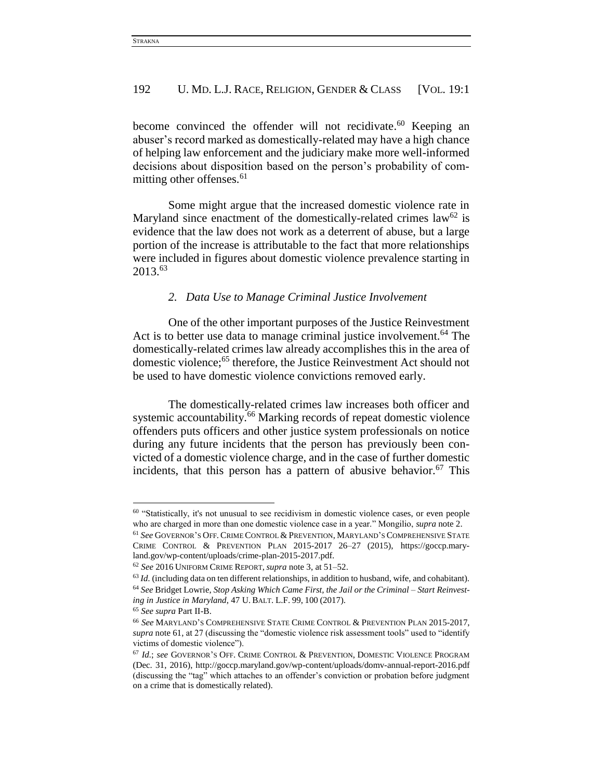become convinced the offender will not recidivate. <sup>60</sup> Keeping an abuser's record marked as domestically-related may have a high chance of helping law enforcement and the judiciary make more well-informed decisions about disposition based on the person's probability of committing other offenses.<sup>61</sup>

Some might argue that the increased domestic violence rate in Maryland since enactment of the domestically-related crimes  $law^{62}$  is evidence that the law does not work as a deterrent of abuse, but a large portion of the increase is attributable to the fact that more relationships were included in figures about domestic violence prevalence starting in 2013.<sup>63</sup>

# *2. Data Use to Manage Criminal Justice Involvement*

One of the other important purposes of the Justice Reinvestment Act is to better use data to manage criminal justice involvement.<sup>64</sup> The domestically-related crimes law already accomplishes this in the area of domestic violence; <sup>65</sup> therefore, the Justice Reinvestment Act should not be used to have domestic violence convictions removed early.

The domestically-related crimes law increases both officer and systemic accountability.<sup>66</sup> Marking records of repeat domestic violence offenders puts officers and other justice system professionals on notice during any future incidents that the person has previously been convicted of a domestic violence charge, and in the case of further domestic incidents, that this person has a pattern of abusive behavior.<sup>67</sup> This

<sup>60</sup> "Statistically, it's not unusual to see recidivism in domestic violence cases, or even people who are charged in more than one domestic violence case in a year." Mongilio, *supra* note 2.

<sup>61</sup> *See* GOVERNOR'S OFF. CRIME CONTROL & PREVENTION, MARYLAND'S COMPREHENSIVE STATE CRIME CONTROL & PREVENTION PLAN 2015-2017 26–27 (2015), https://goccp.maryland.gov/wp-content/uploads/crime-plan-2015-2017.pdf.

<sup>62</sup> *See* 2016 UNIFORM CRIME REPORT, *supra* note 3, at 51–52.

<sup>&</sup>lt;sup>63</sup> *Id.* (including data on ten different relationships, in addition to husband, wife, and cohabitant). <sup>64</sup> *See* Bridget Lowrie, *Stop Asking Which Came First, the Jail or the Criminal – Start Reinvesting in Justice in Maryland*, 47 U. BALT. L.F. 99, 100 (2017).

<sup>65</sup> *See supra* Part II-B.

<sup>66</sup> *See* MARYLAND'S COMPREHENSIVE STATE CRIME CONTROL & PREVENTION PLAN 2015-2017, *supra* note 61, at 27 (discussing the "domestic violence risk assessment tools" used to "identify victims of domestic violence").

<sup>67</sup> *Id.*; *see* GOVERNOR'S OFF. CRIME CONTROL & PREVENTION, DOMESTIC VIOLENCE PROGRAM (Dec. 31, 2016), http://goccp.maryland.gov/wp-content/uploads/domv-annual-report-2016.pdf (discussing the "tag" which attaches to an offender's conviction or probation before judgment on a crime that is domestically related).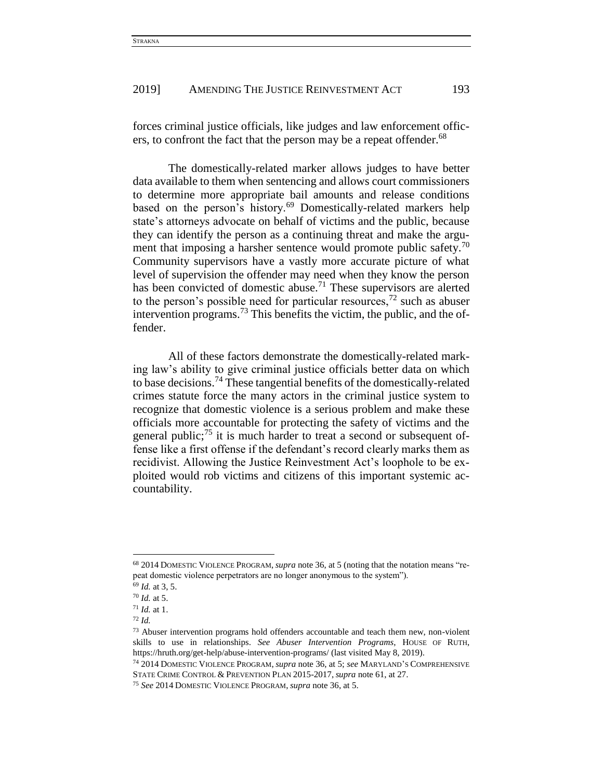forces criminal justice officials, like judges and law enforcement officers, to confront the fact that the person may be a repeat offender.<sup>68</sup>

The domestically-related marker allows judges to have better data available to them when sentencing and allows court commissioners to determine more appropriate bail amounts and release conditions based on the person's history.<sup>69</sup> Domestically-related markers help state's attorneys advocate on behalf of victims and the public, because they can identify the person as a continuing threat and make the argument that imposing a harsher sentence would promote public safety.<sup>70</sup> Community supervisors have a vastly more accurate picture of what level of supervision the offender may need when they know the person has been convicted of domestic abuse.<sup>71</sup> These supervisors are alerted to the person's possible need for particular resources,  $72$  such as abuser intervention programs.<sup>73</sup> This benefits the victim, the public, and the offender.

All of these factors demonstrate the domestically-related marking law's ability to give criminal justice officials better data on which to base decisions.<sup>74</sup> These tangential benefits of the domestically-related crimes statute force the many actors in the criminal justice system to recognize that domestic violence is a serious problem and make these officials more accountable for protecting the safety of victims and the general public; $^{75}$  it is much harder to treat a second or subsequent offense like a first offense if the defendant's record clearly marks them as recidivist. Allowing the Justice Reinvestment Act's loophole to be exploited would rob victims and citizens of this important systemic accountability.

<sup>68</sup> 2014 DOMESTIC VIOLENCE PROGRAM, *supra* note 36, at 5 (noting that the notation means "repeat domestic violence perpetrators are no longer anonymous to the system").

<sup>69</sup> *Id.* at 3, 5.

<sup>70</sup> *Id.* at 5.

<sup>71</sup> *Id.* at 1.

<sup>72</sup> *Id.*

<sup>73</sup> Abuser intervention programs hold offenders accountable and teach them new, non-violent skills to use in relationships. *See Abuser Intervention Programs*, HOUSE OF RUTH, https://hruth.org/get-help/abuse-intervention-programs/ (last visited May 8, 2019).

<sup>74</sup> 2014 DOMESTIC VIOLENCE PROGRAM, *supra* note 36, at 5; *see* MARYLAND'S COMPREHENSIVE STATE CRIME CONTROL & PREVENTION PLAN 2015-2017, *supra* note 61, at 27.

<sup>75</sup> *See* 2014 DOMESTIC VIOLENCE PROGRAM, *supra* note 36, at 5.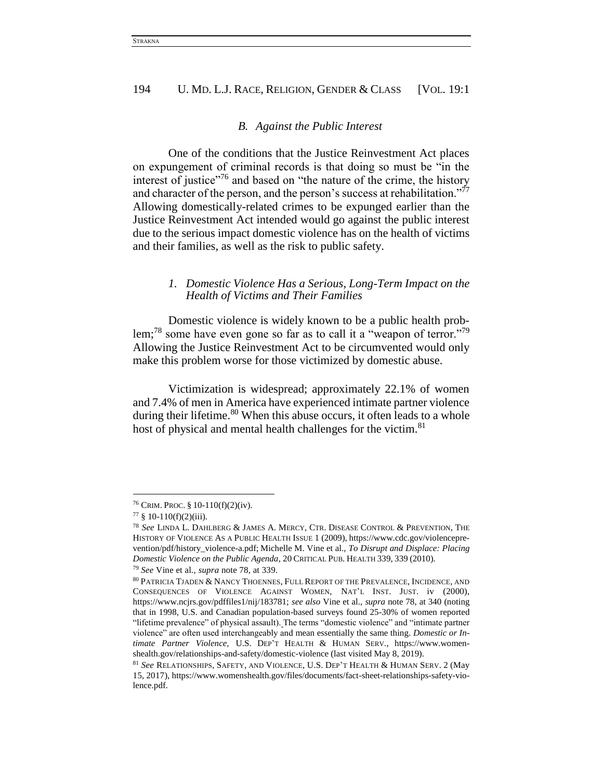#### *B. Against the Public Interest*

One of the conditions that the Justice Reinvestment Act places on expungement of criminal records is that doing so must be "in the interest of justice $176$  and based on "the nature of the crime, the history and character of the person, and the person's success at rehabilitation."<sup>77</sup> Allowing domestically-related crimes to be expunged earlier than the Justice Reinvestment Act intended would go against the public interest due to the serious impact domestic violence has on the health of victims and their families, as well as the risk to public safety.

# *1. Domestic Violence Has a Serious, Long-Term Impact on the Health of Victims and Their Families*

Domestic violence is widely known to be a public health problem;<sup>78</sup> some have even gone so far as to call it a "weapon of terror."<sup>79</sup> Allowing the Justice Reinvestment Act to be circumvented would only make this problem worse for those victimized by domestic abuse.

Victimization is widespread; approximately 22.1% of women and 7.4% of men in America have experienced intimate partner violence during their lifetime.<sup>80</sup> When this abuse occurs, it often leads to a whole host of physical and mental health challenges for the victim.<sup>81</sup>

 $\overline{a}$ 

<sup>79</sup> *See* Vine et al., *supra* note 78, at 339.

<sup>76</sup> CRIM. PROC. § 10-110(f)(2)(iv).

 $77 \S 10-110(f)(2)(iii)$ .

<sup>78</sup> *See* LINDA L. DAHLBERG & JAMES A. MERCY, CTR. DISEASE CONTROL & PREVENTION, THE HISTORY OF VIOLENCE AS A PUBLIC HEALTH ISSUE 1 (2009), https://www.cdc.gov/violenceprevention/pdf/history\_violence-a.pdf; Michelle M. Vine et al., *To Disrupt and Displace: Placing Domestic Violence on the Public Agenda*, 20 CRITICAL PUB. HEALTH 339, 339 (2010).

<sup>80</sup> PATRICIA TJADEN & NANCY THOENNES, FULL REPORT OF THE PREVALENCE, INCIDENCE, AND CONSEQUENCES OF VIOLENCE AGAINST WOMEN, NAT'L INST. JUST. iv (2000), https://www.ncjrs.gov/pdffiles1/nij/183781; *see also* Vine et al., *supra* note 78, at 340 (noting that in 1998, U.S. and Canadian population-based surveys found 25-30% of women reported "lifetime prevalence" of physical assault). The terms "domestic violence" and "intimate partner violence" are often used interchangeably and mean essentially the same thing. *Domestic or Intimate Partner Violence,* U.S. DEP'T HEALTH & HUMAN SERV., https://www.womenshealth.gov/relationships-and-safety/domestic-violence (last visited May 8, 2019).

<sup>81</sup> *See* RELATIONSHIPS, SAFETY, AND VIOLENCE, U.S. DEP'T HEALTH & HUMAN SERV. 2 (May 15, 2017), https://www.womenshealth.gov/files/documents/fact-sheet-relationships-safety-violence.pdf.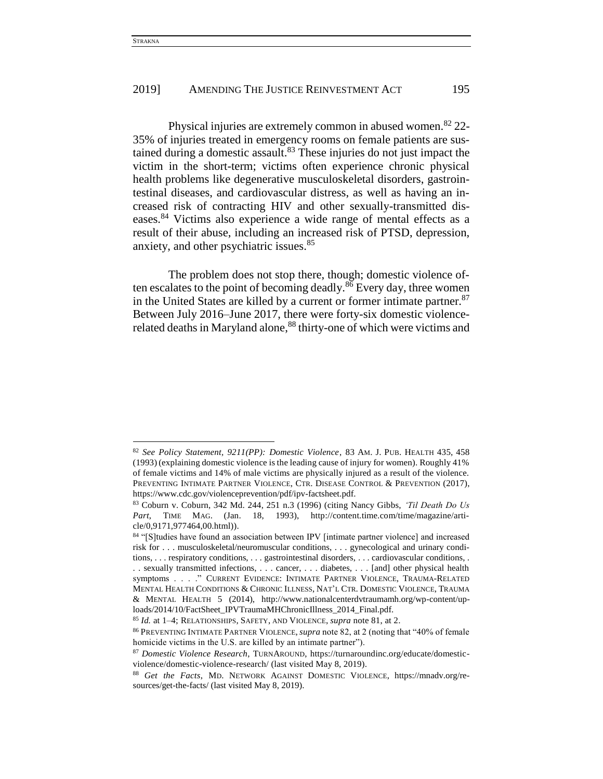l

# 2019] AMENDING THE JUSTICE REINVESTMENT ACT 195

Physical injuries are extremely common in abused women.<sup>82</sup> 22-35% of injuries treated in emergency rooms on female patients are sustained during a domestic assault.<sup>83</sup> These injuries do not just impact the victim in the short-term; victims often experience chronic physical health problems like degenerative musculoskeletal disorders, gastrointestinal diseases, and cardiovascular distress, as well as having an increased risk of contracting HIV and other sexually-transmitted diseases.<sup>84</sup> Victims also experience a wide range of mental effects as a result of their abuse, including an increased risk of PTSD, depression, anxiety, and other psychiatric issues.<sup>85</sup>

The problem does not stop there, though; domestic violence often escalates to the point of becoming deadly.<sup>86</sup> Every day, three women in the United States are killed by a current or former intimate partner. 87 Between July 2016–June 2017, there were forty-six domestic violencerelated deaths in Maryland alone,<sup>88</sup> thirty-one of which were victims and

<sup>82</sup> *See Policy Statement, 9211(PP): Domestic Violence*, 83 AM. J. PUB. HEALTH 435, 458 (1993) (explaining domestic violence is the leading cause of injury for women). Roughly 41% of female victims and 14% of male victims are physically injured as a result of the violence. PREVENTING INTIMATE PARTNER VIOLENCE, CTR. DISEASE CONTROL & PREVENTION (2017), https://www.cdc.gov/violenceprevention/pdf/ipv-factsheet.pdf.

<sup>83</sup> Coburn v. Coburn, 342 Md. 244, 251 n.3 (1996) (citing Nancy Gibbs, *'Til Death Do Us Part*, TIME MAG. (Jan. 18, 1993), http://content.time.com/time/magazine/article/0,9171,977464,00.html)).

<sup>84 &</sup>quot;[S]tudies have found an association between IPV [intimate partner violence] and increased risk for . . . musculoskeletal/neuromuscular conditions, . . . gynecological and urinary conditions, . . . respiratory conditions, . . . gastrointestinal disorders, . . . cardiovascular conditions, . . . sexually transmitted infections, . . . cancer, . . . diabetes, . . . [and] other physical health symptoms . . . ." CURRENT EVIDENCE: INTIMATE PARTNER VIOLENCE, TRAUMA-RELATED MENTAL HEALTH CONDITIONS & CHRONIC ILLNESS, NAT'L CTR. DOMESTIC VIOLENCE, TRAUMA & MENTAL HEALTH 5 (2014), http://www.nationalcenterdvtraumamh.org/wp-content/uploads/2014/10/FactSheet\_IPVTraumaMHChronicIllness\_2014\_Final.pdf.

<sup>85</sup> *Id.* at 1–4; RELATIONSHIPS, SAFETY, AND VIOLENCE, *supra* note 81, at 2.

<sup>86</sup> PREVENTING INTIMATE PARTNER VIOLENCE, *supra* note 82, at 2 (noting that "40% of female homicide victims in the U.S. are killed by an intimate partner").

<sup>87</sup> *Domestic Violence Research*, TURNAROUND, https://turnaroundinc.org/educate/domesticviolence/domestic-violence-research/ (last visited May 8, 2019).

<sup>88</sup> *Get the Facts*, MD. NETWORK AGAINST DOMESTIC VIOLENCE, https://mnadv.org/resources/get-the-facts/ (last visited May 8, 2019).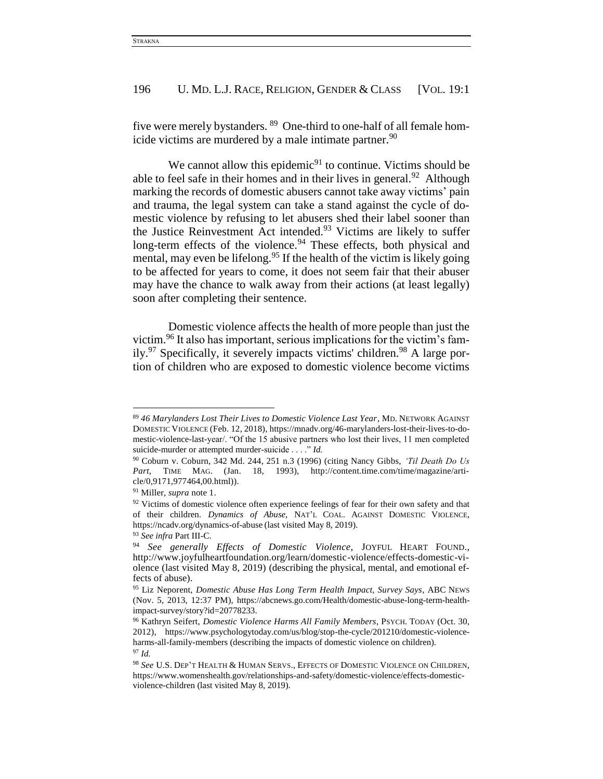five were merely bystanders. <sup>89</sup> One-third to one-half of all female homicide victims are murdered by a male intimate partner. $90$ 

We cannot allow this epidemic $91$  to continue. Victims should be able to feel safe in their homes and in their lives in general. $92$  Although marking the records of domestic abusers cannot take away victims' pain and trauma, the legal system can take a stand against the cycle of domestic violence by refusing to let abusers shed their label sooner than the Justice Reinvestment Act intended.<sup>93</sup> Victims are likely to suffer long-term effects of the violence.<sup>94</sup> These effects, both physical and mental, may even be lifelong.<sup>95</sup> If the health of the victim is likely going to be affected for years to come, it does not seem fair that their abuser may have the chance to walk away from their actions (at least legally) soon after completing their sentence.

Domestic violence affects the health of more people than just the victim.<sup>96</sup> It also has important, serious implications for the victim's fam $ily.<sup>97</sup>$  Specifically, it severely impacts victims' children.<sup>98</sup> A large portion of children who are exposed to domestic violence become victims

<sup>89</sup> *46 Marylanders Lost Their Lives to Domestic Violence Last Year*, MD. NETWORK AGAINST DOMESTIC VIOLENCE (Feb. 12, 2018), https://mnadv.org/46-marylanders-lost-their-lives-to-domestic-violence-last-year/. "Of the 15 abusive partners who lost their lives, 11 men completed suicide-murder or attempted murder-suicide . . . ." *Id.*

<sup>90</sup> Coburn v. Coburn, 342 Md. 244, 251 n.3 (1996) (citing Nancy Gibbs, *'Til Death Do Us*  Part, TIME MAG. (Jan. 18, 1993), http://content.time.com/time/magazine/article/0,9171,977464,00.html)).

<sup>91</sup> Miller, *supra* note 1.

 $92$  Victims of domestic violence often experience feelings of fear for their own safety and that of their children. *Dynamics of Abuse*, NAT'L COAL. AGAINST DOMESTIC VIOLENCE, https://ncadv.org/dynamics-of-abuse (last visited May 8, 2019).

<sup>93</sup> *See infra* Part III-C.

<sup>94</sup> *See generally Effects of Domestic Violence*, JOYFUL HEART FOUND., http://www.joyfulheartfoundation.org/learn/domestic-violence/effects-domestic-violence (last visited May 8, 2019) (describing the physical, mental, and emotional effects of abuse).

<sup>95</sup> Liz Neporent, *Domestic Abuse Has Long Term Health Impact, Survey Says*, ABC NEWS (Nov. 5, 2013, 12:37 PM), https://abcnews.go.com/Health/domestic-abuse-long-term-healthimpact-survey/story?id=20778233.

<sup>96</sup> Kathryn Seifert, *Domestic Violence Harms All Family Members*, PSYCH. TODAY (Oct. 30, 2012), https://www.psychologytoday.com/us/blog/stop-the-cycle/201210/domestic-violenceharms-all-family-members (describing the impacts of domestic violence on children). <sup>97</sup> *Id.*

<sup>98</sup> *See* U.S. DEP'T HEALTH & HUMAN SERVS., EFFECTS OF DOMESTIC VIOLENCE ON CHILDREN, https://www.womenshealth.gov/relationships-and-safety/domestic-violence/effects-domesticviolence-children (last visited May 8, 2019).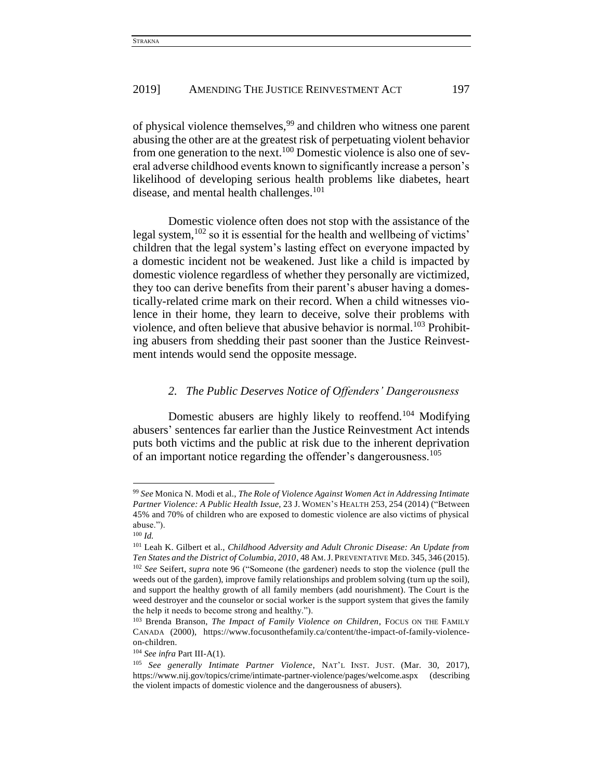of physical violence themselves,<sup>99</sup> and children who witness one parent abusing the other are at the greatest risk of perpetuating violent behavior from one generation to the next.<sup>100</sup> Domestic violence is also one of several adverse childhood events known to significantly increase a person's likelihood of developing serious health problems like diabetes, heart disease, and mental health challenges.<sup>101</sup>

Domestic violence often does not stop with the assistance of the legal system,  $102$  so it is essential for the health and wellbeing of victims' children that the legal system's lasting effect on everyone impacted by a domestic incident not be weakened. Just like a child is impacted by domestic violence regardless of whether they personally are victimized, they too can derive benefits from their parent's abuser having a domestically-related crime mark on their record. When a child witnesses violence in their home, they learn to deceive, solve their problems with violence, and often believe that abusive behavior is normal.<sup>103</sup> Prohibiting abusers from shedding their past sooner than the Justice Reinvestment intends would send the opposite message.

# *2. The Public Deserves Notice of Offenders' Dangerousness*

Domestic abusers are highly likely to reoffend.<sup>104</sup> Modifying abusers' sentences far earlier than the Justice Reinvestment Act intends puts both victims and the public at risk due to the inherent deprivation of an important notice regarding the offender's dangerousness.<sup>105</sup>

<sup>99</sup> *See* Monica N. Modi et al., *The Role of Violence Against Women Act in Addressing Intimate Partner Violence: A Public Health Issue*, 23 J. WOMEN'S HEALTH 253, 254 (2014) ("Between 45% and 70% of children who are exposed to domestic violence are also victims of physical abuse.").

<sup>100</sup> *Id.*

<sup>101</sup> Leah K. Gilbert et al., *Childhood Adversity and Adult Chronic Disease: An Update from Ten States and the District of Columbia, 2010*, 48 AM.J. PREVENTATIVE MED. 345, 346 (2015). <sup>102</sup> *See* Seifert, *supra* note 96 ("Someone (the gardener) needs to stop the violence (pull the weeds out of the garden), improve family relationships and problem solving (turn up the soil), and support the healthy growth of all family members (add nourishment). The Court is the weed destroyer and the counselor or social worker is the support system that gives the family the help it needs to become strong and healthy.").

<sup>&</sup>lt;sup>103</sup> Brenda Branson, *The Impact of Family Violence on Children*, Focus on THE FAMILY CANADA (2000), https://www.focusonthefamily.ca/content/the-impact-of-family-violenceon-children.

<sup>104</sup> *See infra* Part III-A(1).

<sup>105</sup> *See generally Intimate Partner Violence*, NAT'L INST. JUST. (Mar. 30, 2017), https://www.nij.gov/topics/crime/intimate-partner-violence/pages/welcome.aspx (describing the violent impacts of domestic violence and the dangerousness of abusers).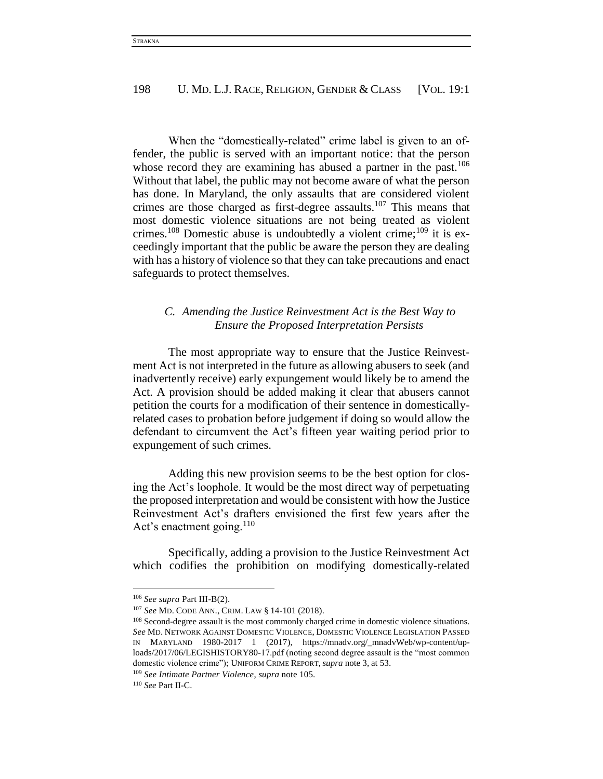When the "domestically-related" crime label is given to an offender, the public is served with an important notice: that the person whose record they are examining has abused a partner in the past.<sup>106</sup> Without that label, the public may not become aware of what the person has done. In Maryland, the only assaults that are considered violent crimes are those charged as first-degree assaults.<sup>107</sup> This means that most domestic violence situations are not being treated as violent crimes.<sup>108</sup> Domestic abuse is undoubtedly a violent crime;<sup>109</sup> it is exceedingly important that the public be aware the person they are dealing with has a history of violence so that they can take precautions and enact safeguards to protect themselves.

# *C. Amending the Justice Reinvestment Act is the Best Way to Ensure the Proposed Interpretation Persists*

The most appropriate way to ensure that the Justice Reinvestment Act is not interpreted in the future as allowing abusers to seek (and inadvertently receive) early expungement would likely be to amend the Act. A provision should be added making it clear that abusers cannot petition the courts for a modification of their sentence in domesticallyrelated cases to probation before judgement if doing so would allow the defendant to circumvent the Act's fifteen year waiting period prior to expungement of such crimes.

Adding this new provision seems to be the best option for closing the Act's loophole. It would be the most direct way of perpetuating the proposed interpretation and would be consistent with how the Justice Reinvestment Act's drafters envisioned the first few years after the Act's enactment going. $110$ 

Specifically, adding a provision to the Justice Reinvestment Act which codifies the prohibition on modifying domestically-related

<sup>106</sup> *See supra* Part III-B(2).

<sup>107</sup> *See* MD. CODE ANN., CRIM. LAW § 14-101 (2018).

<sup>&</sup>lt;sup>108</sup> Second-degree assault is the most commonly charged crime in domestic violence situations. *See* MD. NETWORK AGAINST DOMESTIC VIOLENCE, DOMESTIC VIOLENCE LEGISLATION PASSED IN MARYLAND 1980-2017 1 (2017), https://mnadv.org/\_mnadvWeb/wp-content/uploads/2017/06/LEGISHISTORY80-17.pdf (noting second degree assault is the "most common domestic violence crime"); UNIFORM CRIME REPORT, *supra* note 3, at 53.

<sup>109</sup> *See Intimate Partner Violence*, *supra* note 105.

<sup>110</sup> *See* Part II-C.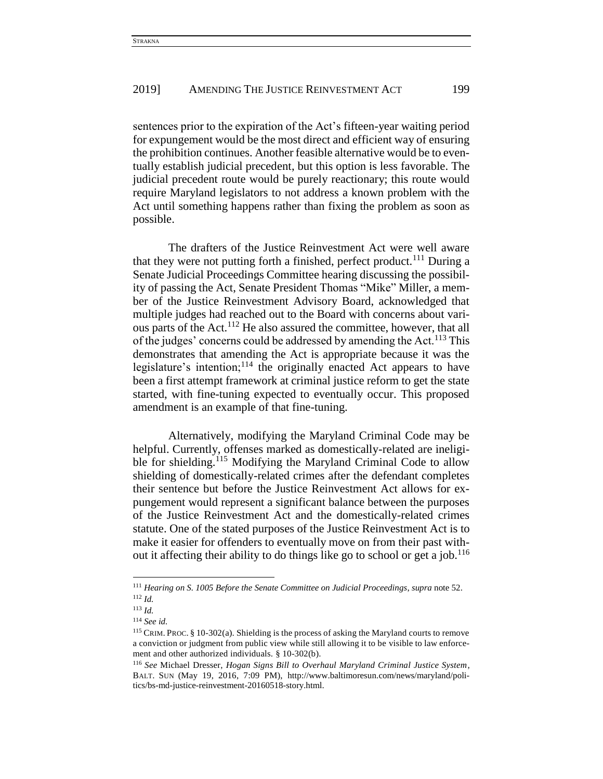sentences prior to the expiration of the Act's fifteen-year waiting period for expungement would be the most direct and efficient way of ensuring the prohibition continues. Another feasible alternative would be to eventually establish judicial precedent, but this option is less favorable. The judicial precedent route would be purely reactionary; this route would require Maryland legislators to not address a known problem with the Act until something happens rather than fixing the problem as soon as possible.

The drafters of the Justice Reinvestment Act were well aware that they were not putting forth a finished, perfect product.<sup>111</sup> During a Senate Judicial Proceedings Committee hearing discussing the possibility of passing the Act, Senate President Thomas "Mike" Miller, a member of the Justice Reinvestment Advisory Board, acknowledged that multiple judges had reached out to the Board with concerns about various parts of the Act.<sup>112</sup> He also assured the committee, however, that all of the judges' concerns could be addressed by amending the Act.<sup>113</sup> This demonstrates that amending the Act is appropriate because it was the legislature's intention;  $114$  the originally enacted Act appears to have been a first attempt framework at criminal justice reform to get the state started, with fine-tuning expected to eventually occur. This proposed amendment is an example of that fine-tuning.

Alternatively, modifying the Maryland Criminal Code may be helpful. Currently, offenses marked as domestically-related are ineligible for shielding.<sup>115</sup> Modifying the Maryland Criminal Code to allow shielding of domestically-related crimes after the defendant completes their sentence but before the Justice Reinvestment Act allows for expungement would represent a significant balance between the purposes of the Justice Reinvestment Act and the domestically-related crimes statute. One of the stated purposes of the Justice Reinvestment Act is to make it easier for offenders to eventually move on from their past without it affecting their ability to do things like go to school or get a job.<sup>116</sup>

 $\overline{a}$ 

<sup>111</sup> *Hearing on S. 1005 Before the Senate Committee on Judicial Proceedings*, *supra* note 52. <sup>112</sup> *Id.*

<sup>113</sup> *Id.*

<sup>114</sup> *See id.*

<sup>115</sup> CRIM. PROC. § 10-302(a). Shielding is the process of asking the Maryland courts to remove a conviction or judgment from public view while still allowing it to be visible to law enforcement and other authorized individuals. § 10-302(b).

<sup>116</sup> *See* Michael Dresser, *Hogan Signs Bill to Overhaul Maryland Criminal Justice System*, BALT. SUN (May 19, 2016, 7:09 PM), http://www.baltimoresun.com/news/maryland/politics/bs-md-justice-reinvestment-20160518-story.html.